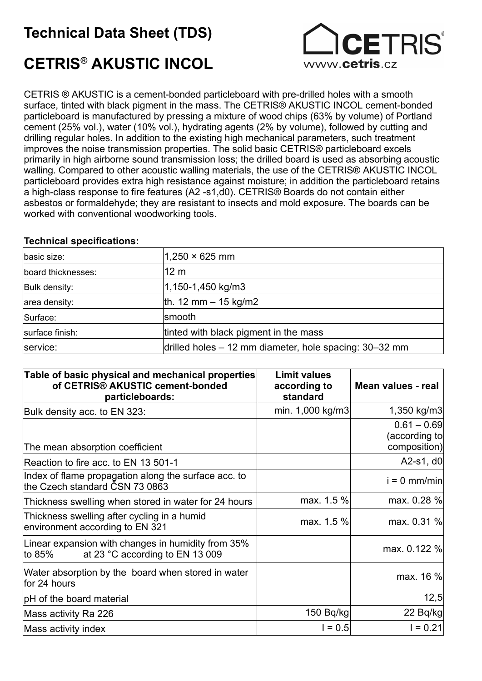## Technical Data Sheet (TDS)



# CETRIS® AKUSTIC INCOL

CETRIS ® AKUSTIC is a cement-bonded particleboard with pre-drilled holes with a smooth surface, tinted with black pigment in the mass. The CETRIS® AKUSTIC INCOL cement-bonded particleboard is manufactured by pressing a mixture of wood chips (63% by volume) of Portland cement (25% vol.), water (10% vol.), hydrating agents (2% by volume), followed by cutting and drilling regular holes. In addition to the existing high mechanical parameters, such treatment improves the noise transmission properties. The solid basic CETRIS® particleboard excels primarily in high airborne sound transmission loss; the drilled board is used as absorbing acoustic walling. Compared to other acoustic walling materials, the use of the CETRIS® AKUSTIC INCOL particleboard provides extra high resistance against moisture; in addition the particleboard retains a high-class response to fire features (A2 -s1,d0). CETRIS® Boards do not contain either asbestos or formaldehyde; they are resistant to insects and mold exposure. The boards can be worked with conventional woodworking tools.

#### Technical specifications:

| basic size:        | $1,250 \times 625$ mm                                  |  |
|--------------------|--------------------------------------------------------|--|
| board thicknesses: | 12 <sub>m</sub>                                        |  |
| Bulk density:      | 1,150-1,450 kg/m3                                      |  |
| area density:      | th. 12 mm $-$ 15 kg/m2                                 |  |
| Surface:           | smooth                                                 |  |
| surface finish:    | tinted with black pigment in the mass                  |  |
| service:           | drilled holes - 12 mm diameter, hole spacing: 30-32 mm |  |

| Table of basic physical and mechanical properties<br>of CETRIS® AKUSTIC cement-bonded<br>particleboards: | <b>Limit values</b><br>according to<br>standard | Mean values - real                              |
|----------------------------------------------------------------------------------------------------------|-------------------------------------------------|-------------------------------------------------|
| Bulk density acc. to EN 323:                                                                             | min. 1,000 kg/m3                                | 1,350 kg/m3                                     |
| The mean absorption coefficient                                                                          |                                                 | $0.61 - 0.69$<br>(according to∣<br>composition) |
| Reaction to fire acc. to EN 13 501-1                                                                     |                                                 | A2-s1, $d0$                                     |
| Index of flame propagation along the surface acc. to<br>the Czech standard ČSN 73 0863                   |                                                 | $i = 0$ mm/min                                  |
| Thickness swelling when stored in water for 24 hours                                                     | max. 1.5 %                                      | max. 0.28 %                                     |
| Thickness swelling after cycling in a humid<br>environment according to EN 321                           | max. 1.5 %                                      | max. 0.31 %                                     |
| Linear expansion with changes in humidity from 35%<br>at 23 °C according to EN 13 009<br>to 85%          |                                                 | max. 0.122 %                                    |
| Water absorption by the board when stored in water<br>for 24 hours                                       |                                                 | max. 16 %                                       |
| pH of the board material                                                                                 |                                                 | 12,5                                            |
| Mass activity Ra 226                                                                                     | 150 Bq/kg                                       | 22 Bq/kg                                        |
| Mass activity index                                                                                      | $1 = 0.5$                                       | $I = 0.21$                                      |